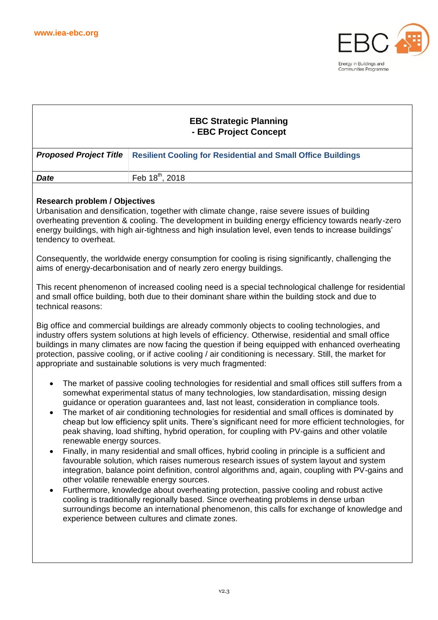

| <b>EBC Strategic Planning</b><br>- EBC Project Concept                                                                                                                                                                                                                                                                                                                                                                                                                                                                                                                                                                                                                                                                                                                                                                                                                                                                                                                                                                                                                                                                                                                                                                                                                                                                                                 |                                                                     |  |  |  |
|--------------------------------------------------------------------------------------------------------------------------------------------------------------------------------------------------------------------------------------------------------------------------------------------------------------------------------------------------------------------------------------------------------------------------------------------------------------------------------------------------------------------------------------------------------------------------------------------------------------------------------------------------------------------------------------------------------------------------------------------------------------------------------------------------------------------------------------------------------------------------------------------------------------------------------------------------------------------------------------------------------------------------------------------------------------------------------------------------------------------------------------------------------------------------------------------------------------------------------------------------------------------------------------------------------------------------------------------------------|---------------------------------------------------------------------|--|--|--|
|                                                                                                                                                                                                                                                                                                                                                                                                                                                                                                                                                                                                                                                                                                                                                                                                                                                                                                                                                                                                                                                                                                                                                                                                                                                                                                                                                        |                                                                     |  |  |  |
| <b>Proposed Project Title</b>                                                                                                                                                                                                                                                                                                                                                                                                                                                                                                                                                                                                                                                                                                                                                                                                                                                                                                                                                                                                                                                                                                                                                                                                                                                                                                                          | <b>Resilient Cooling for Residential and Small Office Buildings</b> |  |  |  |
| <b>Date</b>                                                                                                                                                                                                                                                                                                                                                                                                                                                                                                                                                                                                                                                                                                                                                                                                                                                                                                                                                                                                                                                                                                                                                                                                                                                                                                                                            | Feb 18 <sup>th</sup> , 2018                                         |  |  |  |
| <b>Research problem / Objectives</b><br>Urbanisation and densification, together with climate change, raise severe issues of building<br>overheating prevention & cooling. The development in building energy efficiency towards nearly-zero<br>energy buildings, with high air-tightness and high insulation level, even tends to increase buildings'<br>tendency to overheat.<br>Consequently, the worldwide energy consumption for cooling is rising significantly, challenging the<br>aims of energy-decarbonisation and of nearly zero energy buildings.                                                                                                                                                                                                                                                                                                                                                                                                                                                                                                                                                                                                                                                                                                                                                                                          |                                                                     |  |  |  |
| This recent phenomenon of increased cooling need is a special technological challenge for residential<br>and small office building, both due to their dominant share within the building stock and due to<br>technical reasons:                                                                                                                                                                                                                                                                                                                                                                                                                                                                                                                                                                                                                                                                                                                                                                                                                                                                                                                                                                                                                                                                                                                        |                                                                     |  |  |  |
| Big office and commercial buildings are already commonly objects to cooling technologies, and<br>industry offers system solutions at high levels of efficiency. Otherwise, residential and small office<br>buildings in many climates are now facing the question if being equipped with enhanced overheating<br>protection, passive cooling, or if active cooling / air conditioning is necessary. Still, the market for<br>appropriate and sustainable solutions is very much fragmented:                                                                                                                                                                                                                                                                                                                                                                                                                                                                                                                                                                                                                                                                                                                                                                                                                                                            |                                                                     |  |  |  |
| The market of passive cooling technologies for residential and small offices still suffers from a<br>$\bullet$<br>somewhat experimental status of many technologies, low standardisation, missing design<br>guidance or operation guarantees and, last not least, consideration in compliance tools.<br>The market of air conditioning technologies for residential and small offices is dominated by<br>٠<br>cheap but low efficiency split units. There's significant need for more efficient technologies, for<br>peak shaving, load shifting, hybrid operation, for coupling with PV-gains and other volatile<br>renewable energy sources.<br>Finally, in many residential and small offices, hybrid cooling in principle is a sufficient and<br>$\bullet$<br>favourable solution, which raises numerous research issues of system layout and system<br>integration, balance point definition, control algorithms and, again, coupling with PV-gains and<br>other volatile renewable energy sources.<br>Furthermore, knowledge about overheating protection, passive cooling and robust active<br>$\bullet$<br>cooling is traditionally regionally based. Since overheating problems in dense urban<br>surroundings become an international phenomenon, this calls for exchange of knowledge and<br>experience between cultures and climate zones. |                                                                     |  |  |  |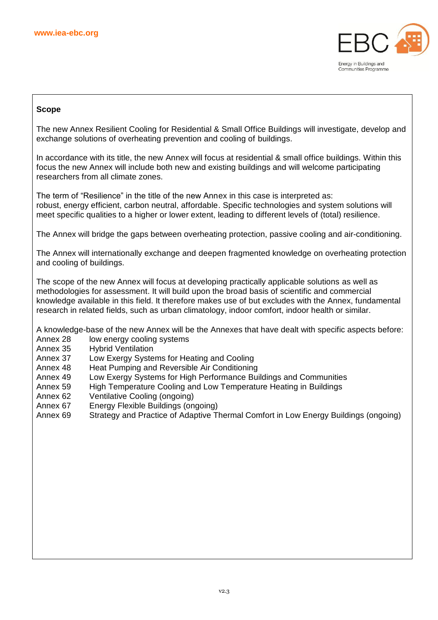

# **Scope**

The new Annex Resilient Cooling for Residential & Small Office Buildings will investigate, develop and exchange solutions of overheating prevention and cooling of buildings.

In accordance with its title, the new Annex will focus at residential & small office buildings. Within this focus the new Annex will include both new and existing buildings and will welcome participating researchers from all climate zones.

The term of "Resilience" in the title of the new Annex in this case is interpreted as: robust, energy efficient, carbon neutral, affordable. Specific technologies and system solutions will meet specific qualities to a higher or lower extent, leading to different levels of (total) resilience.

The Annex will bridge the gaps between overheating protection, passive cooling and air-conditioning.

The Annex will internationally exchange and deepen fragmented knowledge on overheating protection and cooling of buildings.

The scope of the new Annex will focus at developing practically applicable solutions as well as methodologies for assessment. It will build upon the broad basis of scientific and commercial knowledge available in this field. It therefore makes use of but excludes with the Annex, fundamental research in related fields, such as urban climatology, indoor comfort, indoor health or similar.

A knowledge-base of the new Annex will be the Annexes that have dealt with specific aspects before:

- Annex 28 low energy cooling systems
- Annex 35 Hybrid Ventilation
- Annex 37 Low Exergy Systems for Heating and Cooling
- Annex 48 Heat Pumping and Reversible Air Conditioning
- Annex 49 Low Exergy Systems for High Performance Buildings and Communities
- Annex 59 High Temperature Cooling and Low Temperature Heating in Buildings
- Annex 62 Ventilative Cooling (ongoing)
- Annex 67 Energy Flexible Buildings (ongoing)
- Annex 69 Strategy and Practice of Adaptive Thermal Comfort in Low Energy Buildings (ongoing)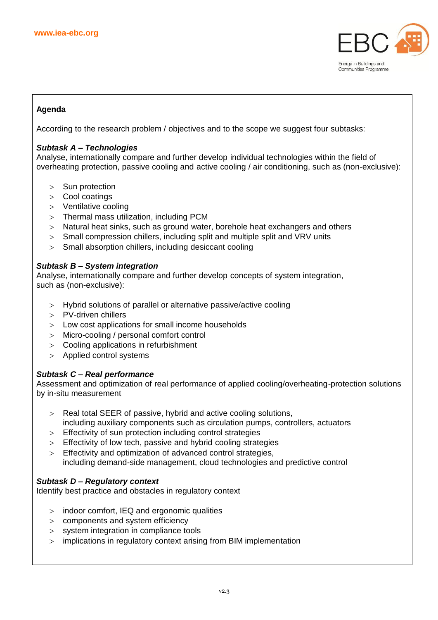

# **Agenda**

According to the research problem / objectives and to the scope we suggest four subtasks:

## *Subtask A – Technologies*

Analyse, internationally compare and further develop individual technologies within the field of overheating protection, passive cooling and active cooling / air conditioning, such as (non-exclusive):

- > Sun protection
- Cool coatings
- Ventilative cooling
- Thermal mass utilization, including PCM
- Natural heat sinks, such as ground water, borehole heat exchangers and others
- > Small compression chillers, including split and multiple split and VRV units
- Small absorption chillers, including desiccant cooling

## *Subtask B – System integration*

Analyse, internationally compare and further develop concepts of system integration, such as (non-exclusive):

- Hybrid solutions of parallel or alternative passive/active cooling
- PV-driven chillers
- Low cost applications for small income households
- Micro-cooling / personal comfort control
- Cooling applications in refurbishment
- Applied control systems

# *Subtask C – Real performance*

Assessment and optimization of real performance of applied cooling/overheating-protection solutions by in-situ measurement

- Real total SEER of passive, hybrid and active cooling solutions, including auxiliary components such as circulation pumps, controllers, actuators
- Effectivity of sun protection including control strategies
- Effectivity of low tech, passive and hybrid cooling strategies
- > Effectivity and optimization of advanced control strategies. including demand-side management, cloud technologies and predictive control

# *Subtask D – Regulatory context*

Identify best practice and obstacles in regulatory context

- indoor comfort, IEQ and ergonomic qualities
- components and system efficiency
- system integration in compliance tools
- implications in regulatory context arising from BIM implementation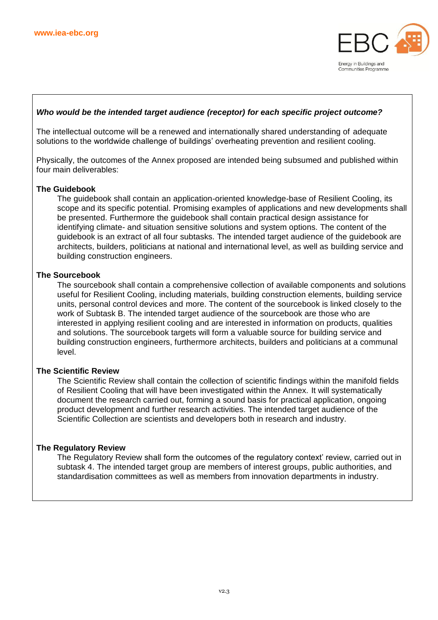

# *Who would be the intended target audience (receptor) for each specific project outcome?*

The intellectual outcome will be a renewed and internationally shared understanding of adequate solutions to the worldwide challenge of buildings' overheating prevention and resilient cooling.

Physically, the outcomes of the Annex proposed are intended being subsumed and published within four main deliverables:

#### **The Guidebook**

The guidebook shall contain an application-oriented knowledge-base of Resilient Cooling, its scope and its specific potential. Promising examples of applications and new developments shall be presented. Furthermore the guidebook shall contain practical design assistance for identifying climate- and situation sensitive solutions and system options. The content of the guidebook is an extract of all four subtasks. The intended target audience of the guidebook are architects, builders, politicians at national and international level, as well as building service and building construction engineers.

#### **The Sourcebook**

The sourcebook shall contain a comprehensive collection of available components and solutions useful for Resilient Cooling, including materials, building construction elements, building service units, personal control devices and more. The content of the sourcebook is linked closely to the work of Subtask B. The intended target audience of the sourcebook are those who are interested in applying resilient cooling and are interested in information on products, qualities and solutions. The sourcebook targets will form a valuable source for building service and building construction engineers, furthermore architects, builders and politicians at a communal level.

#### **The Scientific Review**

The Scientific Review shall contain the collection of scientific findings within the manifold fields of Resilient Cooling that will have been investigated within the Annex. It will systematically document the research carried out, forming a sound basis for practical application, ongoing product development and further research activities. The intended target audience of the Scientific Collection are scientists and developers both in research and industry.

#### **The Regulatory Review**

The Regulatory Review shall form the outcomes of the regulatory context' review, carried out in subtask 4. The intended target group are members of interest groups, public authorities, and standardisation committees as well as members from innovation departments in industry.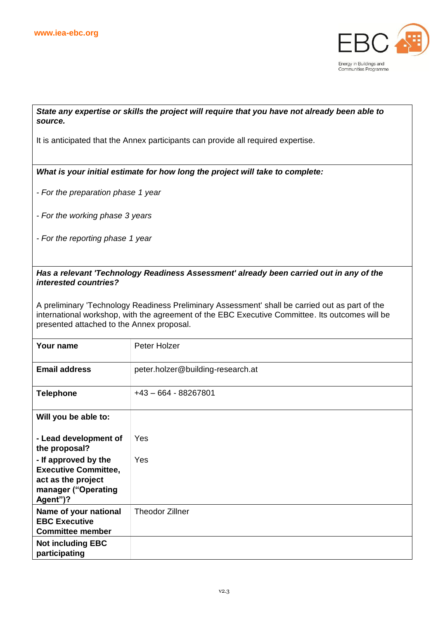

# *State any expertise or skills the project will require that you have not already been able to source.*

It is anticipated that the Annex participants can provide all required expertise.

*What is your initial estimate for how long the project will take to complete:*

- *- For the preparation phase 1 year*
- *- For the working phase 3 years*
- *- For the reporting phase 1 year*

# *Has a relevant 'Technology Readiness Assessment' already been carried out in any of the interested countries?*

A preliminary 'Technology Readiness Preliminary Assessment' shall be carried out as part of the international workshop, with the agreement of the EBC Executive Committee. Its outcomes will be presented attached to the Annex proposal.

| Your name                                                                                                    | Peter Holzer                      |
|--------------------------------------------------------------------------------------------------------------|-----------------------------------|
| <b>Email address</b>                                                                                         | peter.holzer@building-research.at |
| <b>Telephone</b>                                                                                             | $+43 - 664 - 88267801$            |
| Will you be able to:                                                                                         |                                   |
| - Lead development of<br>the proposal?                                                                       | Yes                               |
| - If approved by the<br><b>Executive Committee,</b><br>act as the project<br>manager ("Operating<br>Agent")? | Yes                               |
| Name of your national<br><b>EBC Executive</b><br><b>Committee member</b>                                     | <b>Theodor Zillner</b>            |
| <b>Not including EBC</b><br>participating                                                                    |                                   |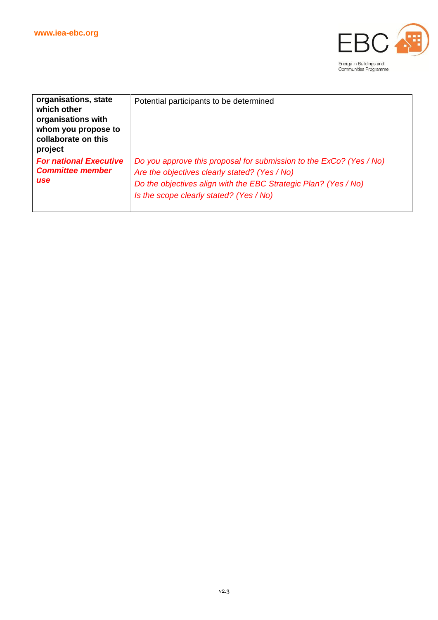

| organisations, state<br>which other<br>organisations with<br>whom you propose to<br>collaborate on this<br>project | Potential participants to be determined                                                                                                                                                                                            |
|--------------------------------------------------------------------------------------------------------------------|------------------------------------------------------------------------------------------------------------------------------------------------------------------------------------------------------------------------------------|
| <b>For national Executive</b><br><b>Committee member</b><br><b>use</b>                                             | Do you approve this proposal for submission to the ExCo? (Yes / No)<br>Are the objectives clearly stated? (Yes / No)<br>Do the objectives align with the EBC Strategic Plan? (Yes / No)<br>Is the scope clearly stated? (Yes / No) |